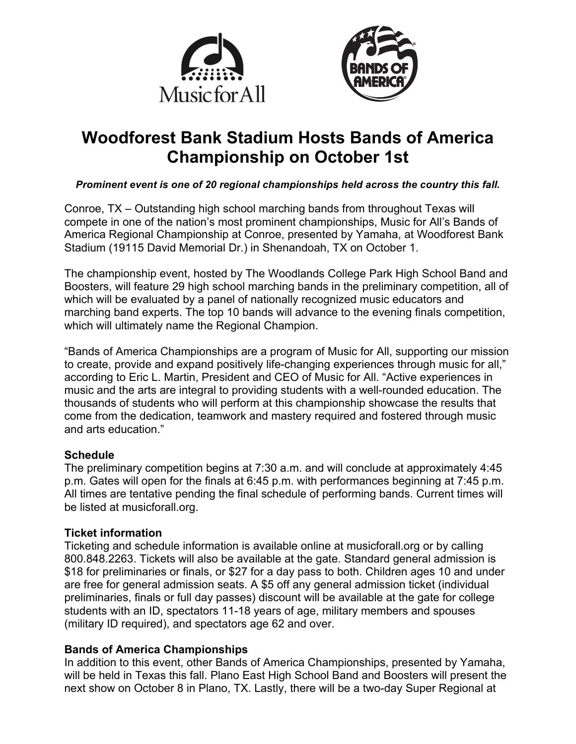



# **Woodforest Bank Stadium Hosts Bands of America Championship on October 1st**

### *Prominent event is one of 20 regional championships held across the country this fall.*

Conroe, TX – Outstanding high school marching bands from throughout Texas will compete in one of the nation's most prominent championships, Music for All's Bands of America Regional Championship at Conroe, presented by Yamaha, at Woodforest Bank Stadium (19115 David Memorial Dr.) in Shenandoah, TX on October 1.

The championship event, hosted by The Woodlands College Park High School Band and Boosters, will feature 29 high school marching bands in the preliminary competition, all of which will be evaluated by a panel of nationally recognized music educators and marching band experts. The top 10 bands will advance to the evening finals competition, which will ultimately name the Regional Champion.

"Bands of America Championships are a program of Music for All, supporting our mission to create, provide and expand positively life-changing experiences through music for all," according to Eric L. Martin, President and CEO of Music for All. "Active experiences in music and the arts are integral to providing students with a well-rounded education. The thousands of students who will perform at this championship showcase the results that come from the dedication, teamwork and mastery required and fostered through music and arts education."

## **Schedule**

The preliminary competition begins at 7:30 a.m. and will conclude at approximately 4:45 p.m. Gates will open for the finals at 6:45 p.m. with performances beginning at 7:45 p.m. All times are tentative pending the final schedule of performing bands. Current times will be listed at musicforall.org.

## **Ticket information**

Ticketing and schedule information is available online at musicforall.org or by calling 800.848.2263. Tickets will also be available at the gate. Standard general admission is \$18 for preliminaries or finals, or \$27 for a day pass to both. Children ages 10 and under are free for general admission seats. A \$5 off any general admission ticket (individual preliminaries, finals or full day passes) discount will be available at the gate for college students with an ID, spectators 11-18 years of age, military members and spouses (military ID required), and spectators age 62 and over.

## **Bands of America Championships**

In addition to this event, other Bands of America Championships, presented by Yamaha, will be held in Texas this fall. Plano East High School Band and Boosters will present the next show on October 8 in Plano, TX. Lastly, there will be a two-day Super Regional at